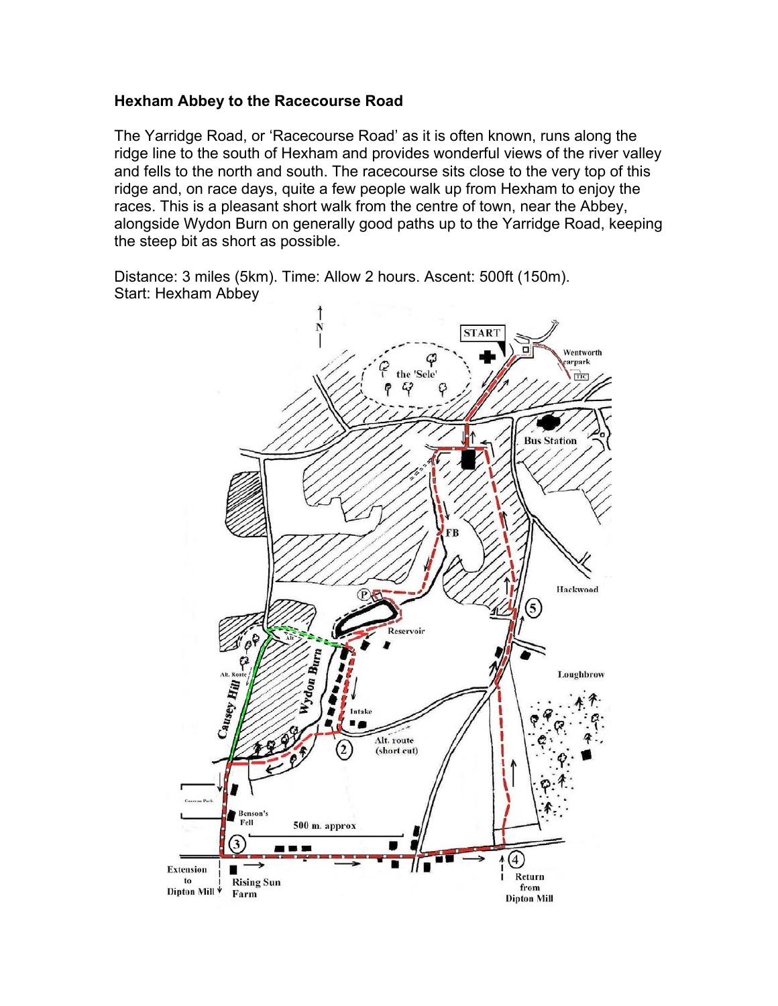#### **Hexham Abbey to the Racecourse Road**

The Yarridge Road, or 'Racecourse Road' as it is often known, runs along the ridge line to the south of Hexham and provides wonderful views of the river valley and fells to the north and south. The racecourse sits close to the very top of this ridge and, on race days, quite a few people walk up from Hexham to enjoy the races. This is a pleasant short walk from the centre of town, near the Abbey, alongside Wydon Burn on generally good paths up to the Yarridge Road, keeping the steep bit as short as possible.

Distance: 3 miles (5km). Time: Allow 2 hours. Ascent: 500ft (150m). Start: Hexham Abbey

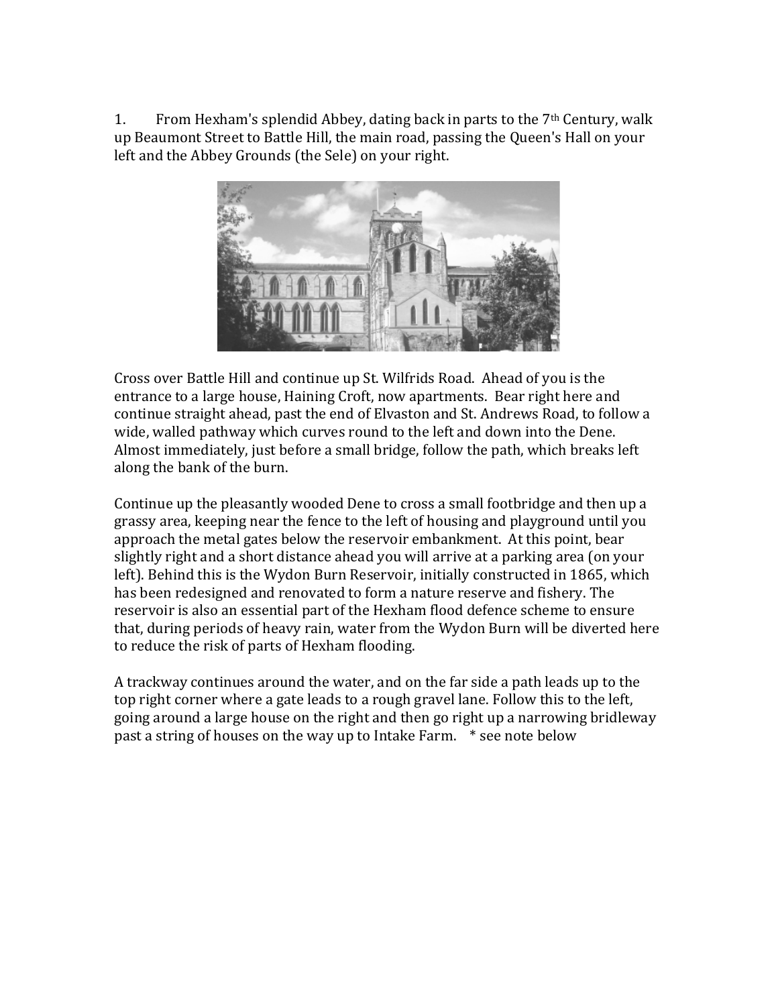1. From Hexham's splendid Abbey, dating back in parts to the  $7<sup>th</sup>$  Century, walk up Beaumont Street to Battle Hill, the main road, passing the Queen's Hall on your left and the Abbey Grounds (the Sele) on your right.



Cross over Battle Hill and continue up St. Wilfrids Road. Ahead of you is the entrance to a large house, Haining Croft, now apartments. Bear right here and continue straight ahead, past the end of Elvaston and St. Andrews Road, to follow a wide, walled pathway which curves round to the left and down into the Dene. Almost immediately, just before a small bridge, follow the path, which breaks left along the bank of the burn.

Continue up the pleasantly wooded Dene to cross a small footbridge and then up a grassy area, keeping near the fence to the left of housing and playground until you approach the metal gates below the reservoir embankment. At this point, bear slightly right and a short distance ahead you will arrive at a parking area (on your left). Behind this is the Wydon Burn Reservoir, initially constructed in 1865, which has been redesigned and renovated to form a nature reserve and fishery. The reservoir is also an essential part of the Hexham flood defence scheme to ensure that, during periods of heavy rain, water from the Wydon Burn will be diverted here to reduce the risk of parts of Hexham flooding.

A trackway continues around the water, and on the far side a path leads up to the top right corner where a gate leads to a rough gravel lane. Follow this to the left, going around a large house on the right and then go right up a narrowing bridleway past a string of houses on the way up to Intake Farm.  $*$  see note below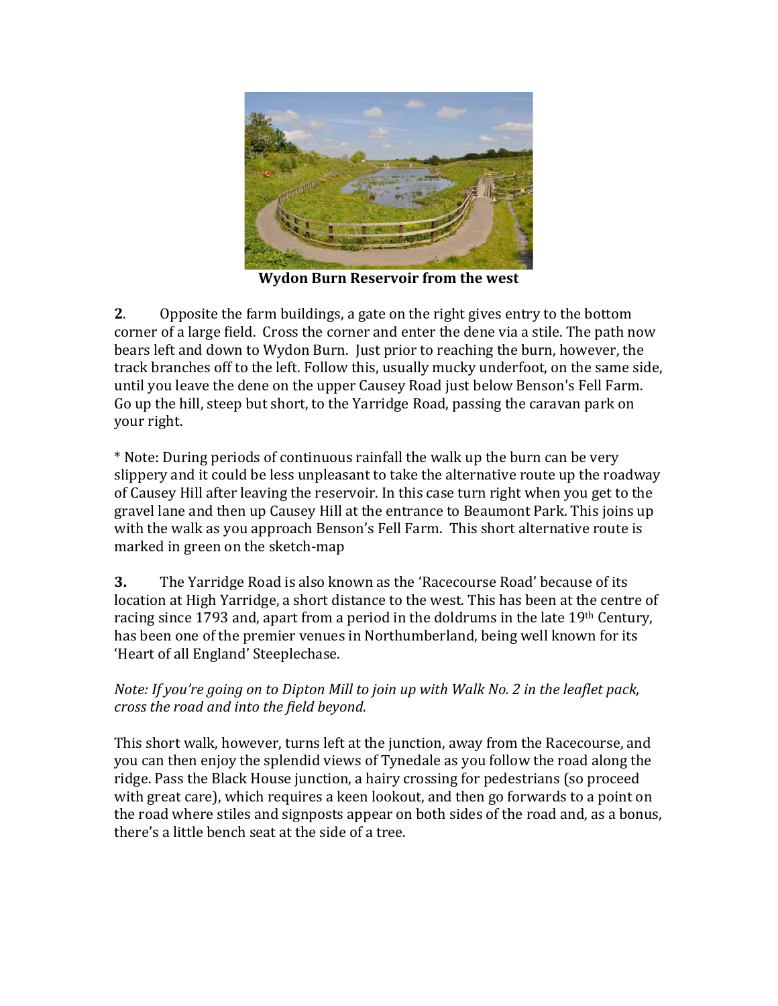

**Wydon Burn Reservoir from the west** 

**2.** Opposite the farm buildings, a gate on the right gives entry to the bottom corner of a large field. Cross the corner and enter the dene via a stile. The path now bears left and down to Wydon Burn. Just prior to reaching the burn, however, the track branches off to the left. Follow this, usually mucky underfoot, on the same side, until you leave the dene on the upper Causey Road just below Benson's Fell Farm. Go up the hill, steep but short, to the Yarridge Road, passing the caravan park on your right.

\* Note: During periods of continuous rainfall the walk up the burn can be very slippery and it could be less unpleasant to take the alternative route up the roadway of Causey Hill after leaving the reservoir. In this case turn right when you get to the gravel lane and then up Causey Hill at the entrance to Beaumont Park. This joins up with the walk as you approach Benson's Fell Farm. This short alternative route is marked in green on the sketch-map

**3.** The Yarridge Road is also known as the 'Racecourse Road' because of its location at High Yarridge, a short distance to the west. This has been at the centre of racing since 1793 and, apart from a period in the doldrums in the late  $19<sup>th</sup>$  Century, has been one of the premier venues in Northumberland, being well known for its 'Heart of all England' Steeplechase.

#### *Note: If you're going on to Dipton Mill to join up with Walk No. 2 in the leaflet pack, cross the road and into the field beyond.*

This short walk, however, turns left at the junction, away from the Racecourse, and you can then enjoy the splendid views of Tynedale as you follow the road along the ridge. Pass the Black House junction, a hairy crossing for pedestrians (so proceed with great care), which requires a keen lookout, and then go forwards to a point on the road where stiles and signposts appear on both sides of the road and, as a bonus, there's a little bench seat at the side of a tree.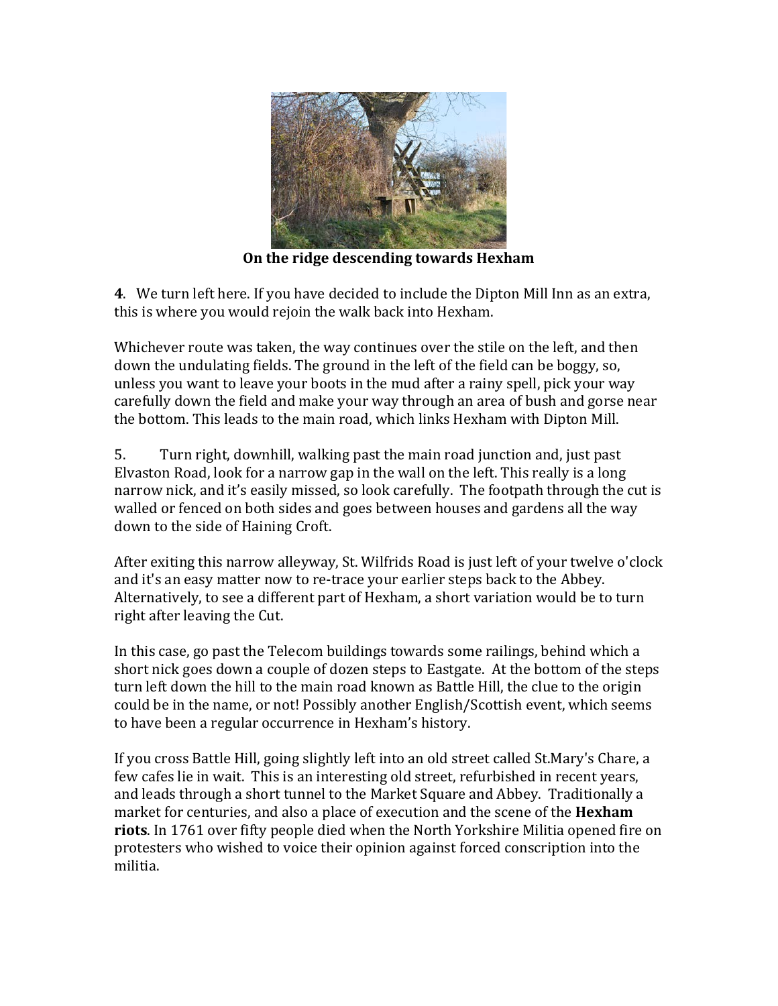

**On the ridge descending towards Hexham** 

**4**. We turn left here. If you have decided to include the Dipton Mill Inn as an extra, this is where you would rejoin the walk back into Hexham.

Whichever route was taken, the way continues over the stile on the left, and then down the undulating fields. The ground in the left of the field can be boggy, so, unless you want to leave your boots in the mud after a rainy spell, pick your way carefully down the field and make your way through an area of bush and gorse near the bottom. This leads to the main road, which links Hexham with Dipton Mill.

5. Turn right, downhill, walking past the main road junction and, just past Elvaston Road, look for a narrow gap in the wall on the left. This really is a long narrow nick, and it's easily missed, so look carefully. The footpath through the cut is walled or fenced on both sides and goes between houses and gardens all the way down to the side of Haining Croft.

After exiting this narrow alleyway, St. Wilfrids Road is just left of your twelve o'clock and it's an easy matter now to re-trace your earlier steps back to the Abbey. Alternatively, to see a different part of Hexham, a short variation would be to turn right after leaving the Cut.

In this case, go past the Telecom buildings towards some railings, behind which a short nick goes down a couple of dozen steps to Eastgate. At the bottom of the steps turn left down the hill to the main road known as Battle Hill, the clue to the origin could be in the name, or not! Possibly another English/Scottish event, which seems to have been a regular occurrence in Hexham's history.

If you cross Battle Hill, going slightly left into an old street called St.Mary's Chare, a few cafes lie in wait. This is an interesting old street, refurbished in recent years, and leads through a short tunnel to the Market Square and Abbey. Traditionally a market for centuries, and also a place of execution and the scene of the **Hexham riots**. In 1761 over fifty people died when the North Yorkshire Militia opened fire on protesters who wished to voice their opinion against forced conscription into the militia.